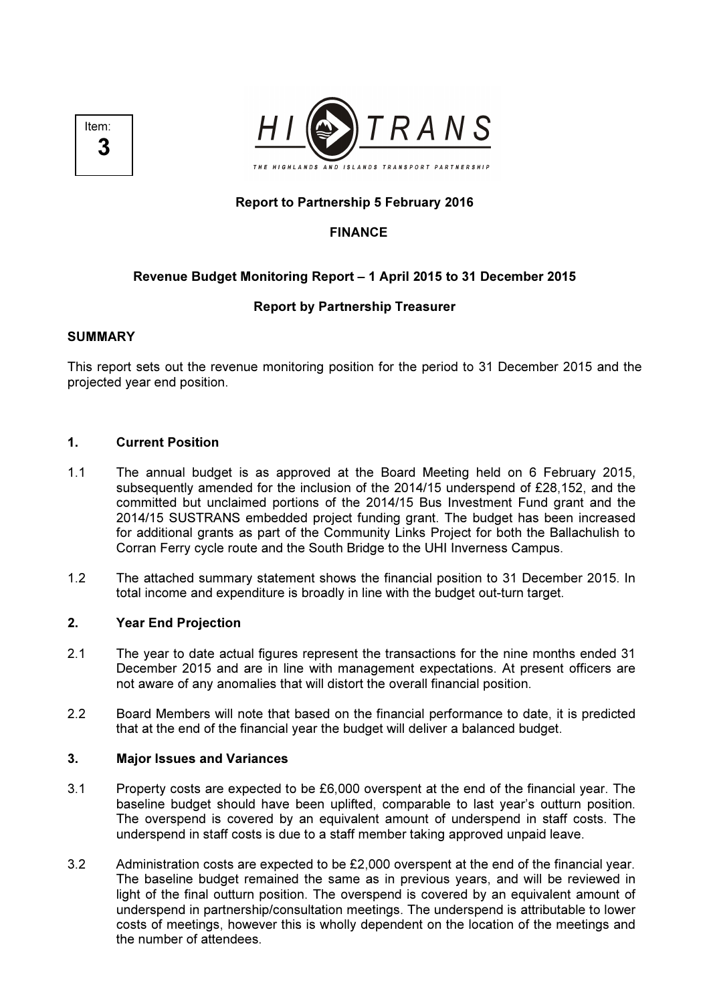



# Report to Partnership 5 February 2016

# FINANCE

# Revenue Budget Monitoring Report – 1 April 2015 to 31 December 2015

### Report by Partnership Treasurer

### SUMMARY

This report sets out the revenue monitoring position for the period to 31 December 2015 and the projected year end position.

### 1. Current Position

- 1.1 The annual budget is as approved at the Board Meeting held on 6 February 2015, subsequently amended for the inclusion of the 2014/15 underspend of £28,152, and the committed but unclaimed portions of the 2014/15 Bus Investment Fund grant and the 2014/15 SUSTRANS embedded project funding grant. The budget has been increased for additional grants as part of the Community Links Project for both the Ballachulish to Corran Ferry cycle route and the South Bridge to the UHI Inverness Campus.
- 1.2 The attached summary statement shows the financial position to 31 December 2015. In total income and expenditure is broadly in line with the budget out-turn target.

### 2. Year End Projection

- 2.1 The year to date actual figures represent the transactions for the nine months ended 31 December 2015 and are in line with management expectations. At present officers are not aware of any anomalies that will distort the overall financial position.
- 2.2 Board Members will note that based on the financial performance to date, it is predicted that at the end of the financial year the budget will deliver a balanced budget.

#### 3. Major Issues and Variances

- 3.1 Property costs are expected to be £6,000 overspent at the end of the financial year. The baseline budget should have been uplifted, comparable to last year's outturn position. The overspend is covered by an equivalent amount of underspend in staff costs. The underspend in staff costs is due to a staff member taking approved unpaid leave.
- 3.2 Administration costs are expected to be £2,000 overspent at the end of the financial year. The baseline budget remained the same as in previous years, and will be reviewed in light of the final outturn position. The overspend is covered by an equivalent amount of underspend in partnership/consultation meetings. The underspend is attributable to lower costs of meetings, however this is wholly dependent on the location of the meetings and the number of attendees.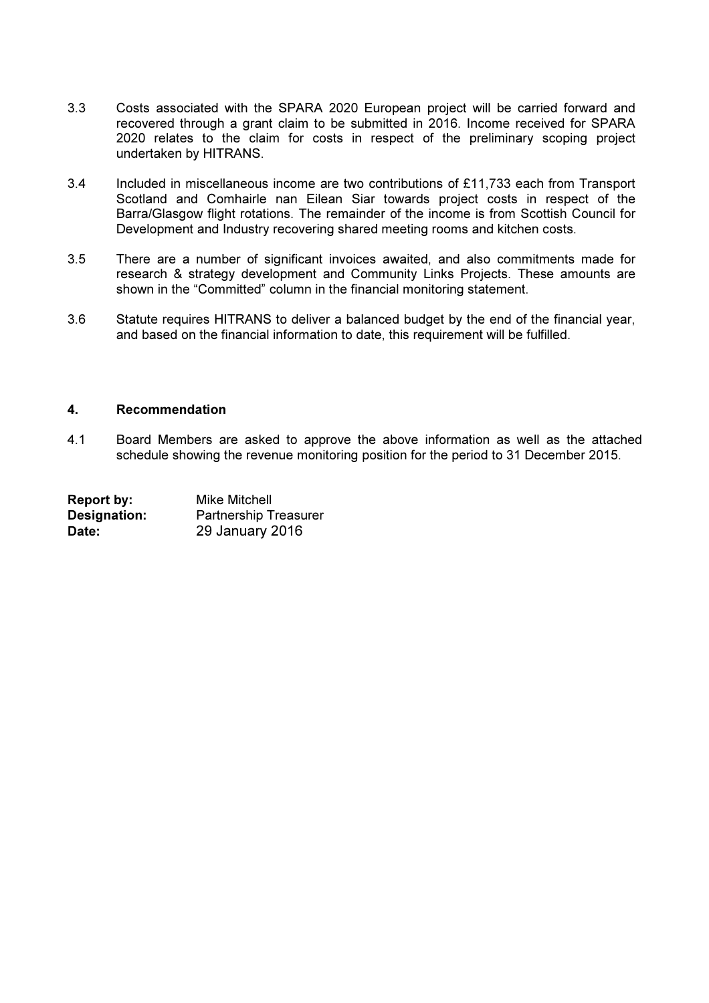- 3.3 Costs associated with the SPARA 2020 European project will be carried forward and recovered through a grant claim to be submitted in 2016. Income received for SPARA 2020 relates to the claim for costs in respect of the preliminary scoping project undertaken by HITRANS.
- 3.4 Included in miscellaneous income are two contributions of £11,733 each from Transport Scotland and Comhairle nan Eilean Siar towards project costs in respect of the Barra/Glasgow flight rotations. The remainder of the income is from Scottish Council for Development and Industry recovering shared meeting rooms and kitchen costs.
- 3.5 There are a number of significant invoices awaited, and also commitments made for research & strategy development and Community Links Projects. These amounts are shown in the "Committed" column in the financial monitoring statement.
- 3.6 Statute requires HITRANS to deliver a balanced budget by the end of the financial year, and based on the financial information to date, this requirement will be fulfilled.

### 4. Recommendation

4.1 Board Members are asked to approve the above information as well as the attached schedule showing the revenue monitoring position for the period to 31 December 2015.

| Report by:          | <b>Mike Mitchell</b>         |
|---------------------|------------------------------|
| <b>Designation:</b> | <b>Partnership Treasurer</b> |
| Date:               | 29 January 2016              |